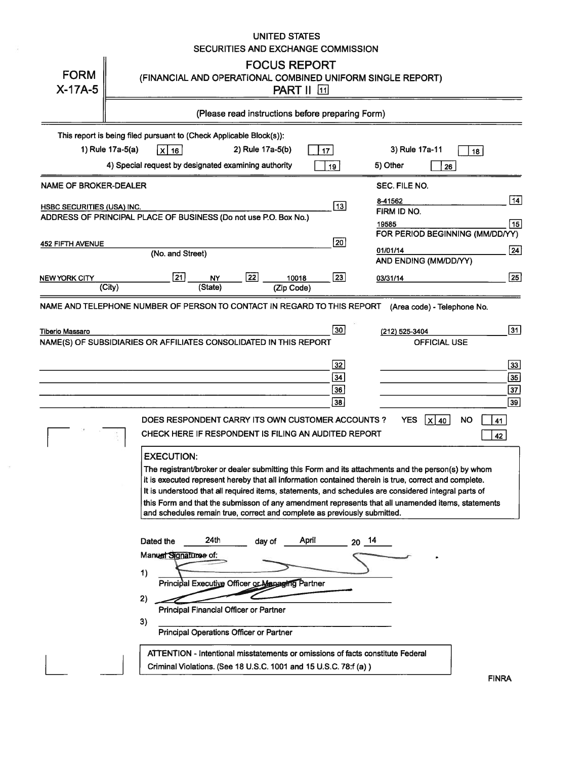|                                   | UNITED STATES                                                                                                                                                                 |                                                |
|-----------------------------------|-------------------------------------------------------------------------------------------------------------------------------------------------------------------------------|------------------------------------------------|
|                                   | SECURITIES AND EXCHANGE COMMISSION                                                                                                                                            |                                                |
| <b>FORM</b>                       | <b>FOCUS REPORT</b>                                                                                                                                                           |                                                |
| $X-17A-5$                         | (FINANCIAL AND OPERATIONAL COMBINED UNIFORM SINGLE REPORT)<br><b>PART II</b> 11                                                                                               |                                                |
|                                   |                                                                                                                                                                               |                                                |
|                                   | (Please read instructions before preparing Form)                                                                                                                              |                                                |
|                                   | This report is being filed pursuant to (Check Applicable Block(s)):                                                                                                           |                                                |
|                                   | 1) Rule 17a-5(a)<br>X 16<br>2) Rule 17a-5(b)<br>17                                                                                                                            | 3) Rule 17a-11<br>18                           |
|                                   | 4) Special request by designated examining authority<br>19 <sup>1</sup>                                                                                                       | 5) Other<br>26                                 |
| <b>NAME OF BROKER-DEALER</b>      |                                                                                                                                                                               | SEC. FILE NO.                                  |
| <b>HSBC SECURITIES (USA) INC.</b> | 13                                                                                                                                                                            | $\overline{14}$<br>8-41562                     |
|                                   | ADDRESS OF PRINCIPAL PLACE OF BUSINESS (Do not use P.O. Box No.)                                                                                                              | FIRM ID NO.                                    |
|                                   |                                                                                                                                                                               | 15<br>19585<br>FOR PERIOD BEGINNING (MM/DD/YY) |
| <b>452 FIFTH AVENUE</b>           | $\boxed{20}$                                                                                                                                                                  |                                                |
|                                   | (No. and Street)                                                                                                                                                              | 01/01/14<br>24<br>AND ENDING (MM/DD/YY)        |
| <b>NEW YORK CITY</b>              | $\overline{21}$<br>$\overline{22}$<br>23<br>10018<br><b>NY</b>                                                                                                                | 25                                             |
|                                   | $\overline{(City)}$<br>(State)<br>(Zip Code)                                                                                                                                  | 03/31/14                                       |
|                                   | NAME AND TELEPHONE NUMBER OF PERSON TO CONTACT IN REGARD TO THIS REPORT                                                                                                       | (Area code) - Telephone No.                    |
| <b>Tiberio Massaro</b>            | 30                                                                                                                                                                            | $\overline{31}$                                |
|                                   | NAME(S) OF SUBSIDIARIES OR AFFILIATES CONSOLIDATED IN THIS REPORT                                                                                                             | (212) 525-3404<br><b>OFFICIAL USE</b>          |
|                                   |                                                                                                                                                                               |                                                |
|                                   | 32                                                                                                                                                                            | 33                                             |
|                                   | 34                                                                                                                                                                            | 35                                             |
|                                   | 36                                                                                                                                                                            | 37                                             |
|                                   | 38                                                                                                                                                                            | 39                                             |
|                                   | DOES RESPONDENT CARRY ITS OWN CUSTOMER ACCOUNTS ?                                                                                                                             | ΝO<br><b>YES</b><br>$X$ 40<br>41               |
|                                   | CHECK HERE IF RESPONDENT IS FILING AN AUDITED REPORT                                                                                                                          | 42                                             |
|                                   | <b>EXECUTION:</b>                                                                                                                                                             |                                                |
|                                   | The registrant/broker or dealer submitting this Form and its attachments and the person(s) by whom                                                                            |                                                |
|                                   | it is executed represent hereby that all information contained therein is true, correct and complete.                                                                         |                                                |
|                                   | It is understood that all required items, statements, and schedules are considered integral parts of                                                                          |                                                |
|                                   | this Form and that the submisson of any amendment represents that all unamended items, statements<br>and schedules remain true, correct and complete as previously submitted. |                                                |
|                                   |                                                                                                                                                                               |                                                |
|                                   | 24th<br>April<br>Dated the<br>$20^{14}$<br>day of                                                                                                                             |                                                |
|                                   | Manual Signatures of:                                                                                                                                                         |                                                |
|                                   | 1)                                                                                                                                                                            |                                                |
|                                   | Principal Executive Officer or Managing Partner                                                                                                                               |                                                |
|                                   | 2)                                                                                                                                                                            |                                                |
|                                   | Principal Financial Officer or Partner                                                                                                                                        |                                                |
|                                   | 3)<br>Principal Operations Officer or Partner                                                                                                                                 |                                                |
|                                   |                                                                                                                                                                               |                                                |
|                                   | ATTENTION - Intentional misstatements or omissions of facts constitute Federal                                                                                                |                                                |
|                                   | Criminal Violations. (See 18 U.S.C. 1001 and 15 U.S.C. 78:f (a))                                                                                                              | <b>FINRA</b>                                   |
|                                   |                                                                                                                                                                               |                                                |

 $\left\langle \frac{1}{2} \right\rangle$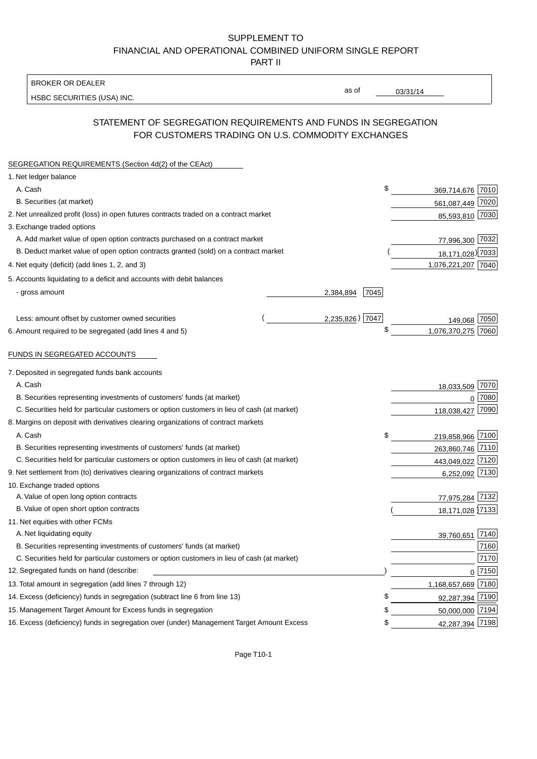# SUPPLEMENT TO FINANCIAL AND OPERATIONAL COMBINED UNIFORM SINGLE REPORT

PART II

#### BROKER OR DEALER

HSBC SECURITIES (USA) INC.

03/31/14

as of

# STATEMENT OF SEGREGATION REQUIREMENTS AND FUNDS IN SEGREGATION FOR CUSTOMERS TRADING ON U.S. COMMODITY EXCHANGES

| SEGREGATION REQUIREMENTS (Section 4d(2) of the CEAct)                                       |                   |                    |        |
|---------------------------------------------------------------------------------------------|-------------------|--------------------|--------|
| 1. Net ledger balance                                                                       |                   |                    |        |
| A. Cash                                                                                     | \$                | 369,714,676 7010   |        |
| B. Securities (at market)                                                                   |                   | 561,087,449 7020   |        |
| 2. Net unrealized profit (loss) in open futures contracts traded on a contract market       |                   | 85,593,810 7030    |        |
| 3. Exchange traded options                                                                  |                   |                    |        |
| A. Add market value of open option contracts purchased on a contract market                 |                   | 77,996,300 7032    |        |
| B. Deduct market value of open option contracts granted (sold) on a contract market         |                   | 18,171,028) 7033   |        |
| 4. Net equity (deficit) (add lines 1, 2, and 3)                                             |                   | 1,076,221,207 7040 |        |
| 5. Accounts liquidating to a deficit and accounts with debit balances                       |                   |                    |        |
| - gross amount                                                                              | 7045<br>2,384,894 |                    |        |
|                                                                                             |                   |                    |        |
| Less: amount offset by customer owned securities                                            | 2,235,826) 7047   | 149,068 7050       |        |
| 6. Amount required to be segregated (add lines 4 and 5)                                     | \$                | 1,076,370,275 7060 |        |
| FUNDS IN SEGREGATED ACCOUNTS                                                                |                   |                    |        |
| 7. Deposited in segregated funds bank accounts                                              |                   |                    |        |
| A. Cash                                                                                     |                   | 18,033,509         | 7070   |
| B. Securities representing investments of customers' funds (at market)                      |                   | $\Omega$           | 7080   |
| C. Securities held for particular customers or option customers in lieu of cash (at market) |                   | 118,038,427        | 7090   |
| 8. Margins on deposit with derivatives clearing organizations of contract markets           |                   |                    |        |
| A. Cash                                                                                     | \$                | 219,858,966 7100   |        |
| B. Securities representing investments of customers' funds (at market)                      |                   | 263,860,746 7110   |        |
| C. Securities held for particular customers or option customers in lieu of cash (at market) |                   | 443,049,022 7120   |        |
| 9. Net settlement from (to) derivatives clearing organizations of contract markets          |                   | 6,252,092 7130     |        |
| 10. Exchange traded options                                                                 |                   |                    |        |
| A. Value of open long option contracts                                                      |                   | 77,975,284 7132    |        |
| B. Value of open short option contracts                                                     |                   | 18,171,028 7133    |        |
| 11. Net equities with other FCMs                                                            |                   |                    |        |
| A. Net liquidating equity                                                                   |                   | 39,760,651         | 7140   |
| B. Securities representing investments of customers' funds (at market)                      |                   |                    | 7160   |
| C. Securities held for particular customers or option customers in lieu of cash (at market) |                   |                    | 7170   |
| 12. Segregated funds on hand (describe:                                                     |                   |                    | 0 7150 |
| 13. Total amount in segregation (add lines 7 through 12)                                    |                   | 1,168,657,669 7180 |        |
| 14. Excess (deficiency) funds in segregation (subtract line 6 from line 13)                 | £                 | 92,287,394 7190    |        |
| 15. Management Target Amount for Excess funds in segregation                                | £                 | 50,000,000 7194    |        |
| 16. Excess (deficiency) funds in segregation over (under) Management Target Amount Excess   | \$                | 42,287,394 7198    |        |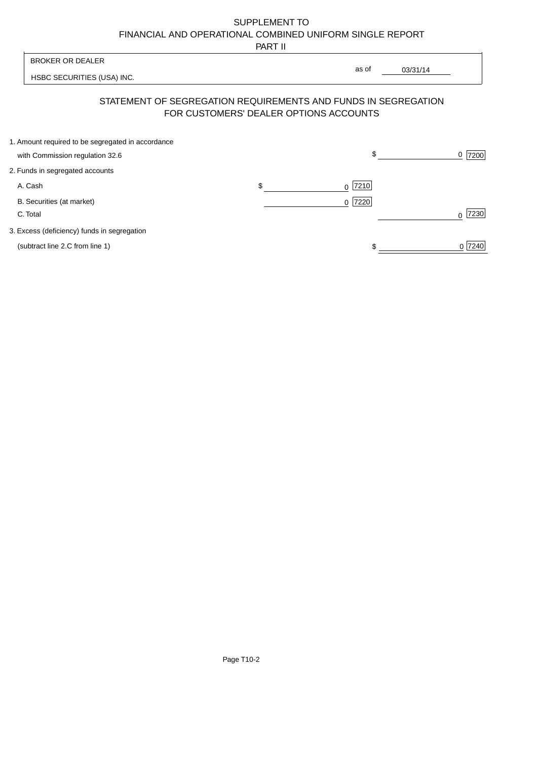# SUPPLEMENT TO FINANCIAL AND OPERATIONAL COMBINED UNIFORM SINGLE REPORT

PART II

|                                                   | .                               |                  |                                                                                                                               |
|---------------------------------------------------|---------------------------------|------------------|-------------------------------------------------------------------------------------------------------------------------------|
| <b>BROKER OR DEALER</b>                           |                                 |                  |                                                                                                                               |
| HSBC SECURITIES (USA) INC.                        |                                 |                  |                                                                                                                               |
|                                                   |                                 |                  |                                                                                                                               |
| 1. Amount required to be segregated in accordance |                                 | \$               | 7200<br>0                                                                                                                     |
| 2. Funds in segregated accounts                   |                                 |                  |                                                                                                                               |
| A. Cash                                           | \$                              | 7210<br>0        |                                                                                                                               |
| B. Securities (at market)<br>C. Total             |                                 | 7220<br>$\Omega$ | 7230<br>$\Omega$                                                                                                              |
| 3. Excess (deficiency) funds in segregation       |                                 |                  |                                                                                                                               |
| (subtract line 2.C from line 1)                   |                                 |                  | 0 7240                                                                                                                        |
|                                                   | with Commission regulation 32.6 |                  | as of<br>03/31/14<br>STATEMENT OF SEGREGATION REQUIREMENTS AND FUNDS IN SEGREGATION<br>FOR CUSTOMERS' DEALER OPTIONS ACCOUNTS |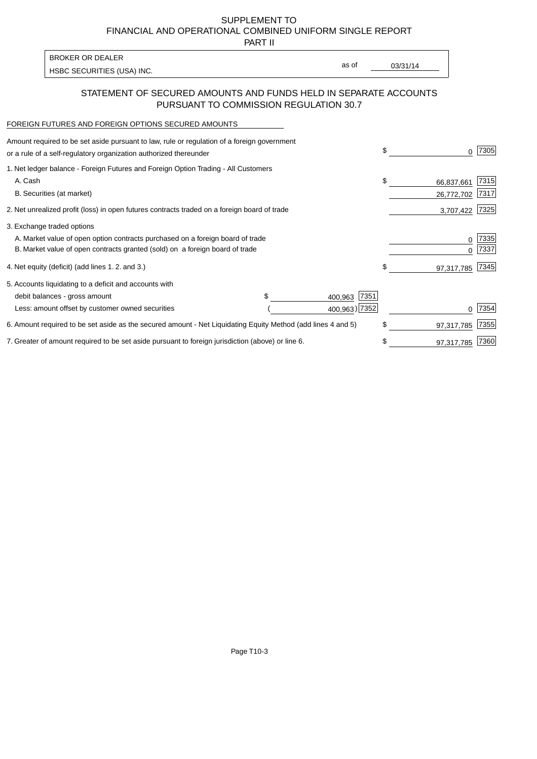SUPPLEMENT TO FINANCIAL AND OPERATIONAL COMBINED UNIFORM SINGLE REPORT

PART II

| <b>BROKER OR DEALER</b>    |       |          |
|----------------------------|-------|----------|
| HSBC SECURITIES (USA) INC. | as of | 03/31/14 |

#### STATEMENT OF SECURED AMOUNTS AND FUNDS HELD IN SEPARATE ACCOUNTS PURSUANT TO COMMISSION REGULATION 30.7

#### FOREIGN FUTURES AND FOREIGN OPTIONS SECURED AMOUNTS

| Amount required to be set aside pursuant to law, rule or regulation of a foreign government<br>or a rule of a self-regulatory organization authorized thereunder |                 | \$<br>O.         | 7305 |
|------------------------------------------------------------------------------------------------------------------------------------------------------------------|-----------------|------------------|------|
| 1. Net ledger balance - Foreign Futures and Foreign Option Trading - All Customers                                                                               |                 |                  |      |
| A. Cash                                                                                                                                                          |                 | \$<br>66,837,661 | 7315 |
| B. Securities (at market)                                                                                                                                        |                 | 26,772,702       | 7317 |
| 2. Net unrealized profit (loss) in open futures contracts traded on a foreign board of trade                                                                     |                 | 3,707,422        | 7325 |
| 3. Exchange traded options                                                                                                                                       |                 |                  |      |
| A. Market value of open option contracts purchased on a foreign board of trade                                                                                   |                 | 0                | 7335 |
| B. Market value of open contracts granted (sold) on a foreign board of trade                                                                                     |                 |                  | 7337 |
| 4. Net equity (deficit) (add lines 1. 2. and 3.)                                                                                                                 |                 | \$<br>97,317,785 | 7345 |
| 5. Accounts liquidating to a deficit and accounts with                                                                                                           |                 |                  |      |
| debit balances - gross amount                                                                                                                                    | 7351<br>400,963 |                  |      |
| Less: amount offset by customer owned securities                                                                                                                 | 400,963) 7352   |                  | 7354 |
| 6. Amount required to be set aside as the secured amount - Net Liquidating Equity Method (add lines 4 and 5)                                                     |                 | \$<br>97,317,785 | 7355 |
| 7. Greater of amount required to be set aside pursuant to foreign jurisdiction (above) or line 6.                                                                |                 | \$<br>97,317,785 | 7360 |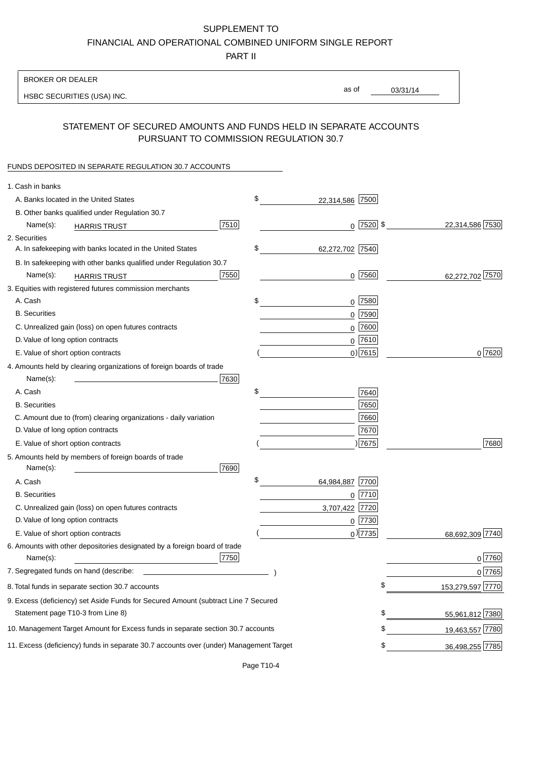# SUPPLEMENT TO

FINANCIAL AND OPERATIONAL COMBINED UNIFORM SINGLE REPORT

PART II

#### BROKER OR DEALER

HSBC SECURITIES (USA) INC.

03/31/14 as of

### STATEMENT OF SECURED AMOUNTS AND FUNDS HELD IN SEPARATE ACCOUNTS PURSUANT TO COMMISSION REGULATION 30.7

#### FUNDS DEPOSITED IN SEPARATE REGULATION 30.7 ACCOUNTS

| 1. Cash in banks                                                                       |                       |                                |
|----------------------------------------------------------------------------------------|-----------------------|--------------------------------|
| A. Banks located in the United States                                                  | \$<br>22,314,586      | 7500                           |
| B. Other banks qualified under Regulation 30.7                                         |                       |                                |
| 7510<br>Name(s):<br><b>HARRIS TRUST</b>                                                |                       | $0$ 7520 \$<br>22,314,586 7530 |
| 2. Securities                                                                          |                       |                                |
| A. In safekeeping with banks located in the United States                              | \$<br>62,272,702 7540 |                                |
| B. In safekeeping with other banks qualified under Regulation 30.7                     |                       |                                |
| 7550<br>Name(s):<br><b>HARRIS TRUST</b>                                                |                       | $0$ 7560<br>62,272,702 7570    |
| 3. Equities with registered futures commission merchants                               |                       |                                |
| A. Cash                                                                                | \$                    | $0$ 7580                       |
| <b>B.</b> Securities                                                                   |                       | $0$ 7590                       |
| C. Unrealized gain (loss) on open futures contracts                                    |                       | $0$ 7600                       |
| D. Value of long option contracts                                                      |                       | $0^{7610}$                     |
| E. Value of short option contracts                                                     |                       | 0 7615 <br>0 7620              |
| 4. Amounts held by clearing organizations of foreign boards of trade                   |                       |                                |
| Name(s):<br>7630                                                                       |                       |                                |
| A. Cash                                                                                | \$                    | 7640                           |
| <b>B.</b> Securities                                                                   |                       | 7650                           |
| C. Amount due to (from) clearing organizations - daily variation                       |                       | 7660                           |
| D. Value of long option contracts                                                      |                       | 7670                           |
| E. Value of short option contracts                                                     |                       | )7675<br>7680                  |
| 5. Amounts held by members of foreign boards of trade                                  |                       |                                |
| 7690<br>Name(s):                                                                       |                       |                                |
| A. Cash                                                                                | \$<br>64,984,887      | 7700                           |
| <b>B.</b> Securities                                                                   |                       | $0$  7710                      |
| C. Unrealized gain (loss) on open futures contracts                                    | 3,707,422             | 7720                           |
| D. Value of long option contracts                                                      |                       | $0$ 7730                       |
| E. Value of short option contracts                                                     |                       | $_0$ ) 7735<br>68,692,309 7740 |
| 6. Amounts with other depositories designated by a foreign board of trade              |                       |                                |
| 7750<br>Name(s):                                                                       |                       | $0$ 7760                       |
| 7. Segregated funds on hand (describe:                                                 |                       | $0$ 7765                       |
| 8. Total funds in separate section 30.7 accounts                                       |                       | 153,279,597 7770<br>\$         |
| 9. Excess (deficiency) set Aside Funds for Secured Amount (subtract Line 7 Secured     |                       |                                |
| Statement page T10-3 from Line 8)                                                      |                       | \$<br>55,961,812 7380          |
| 10. Management Target Amount for Excess funds in separate section 30.7 accounts        |                       | \$<br>19,463,557 7780          |
| 11. Excess (deficiency) funds in separate 30.7 accounts over (under) Management Target |                       | \$<br>36,498,255 7785          |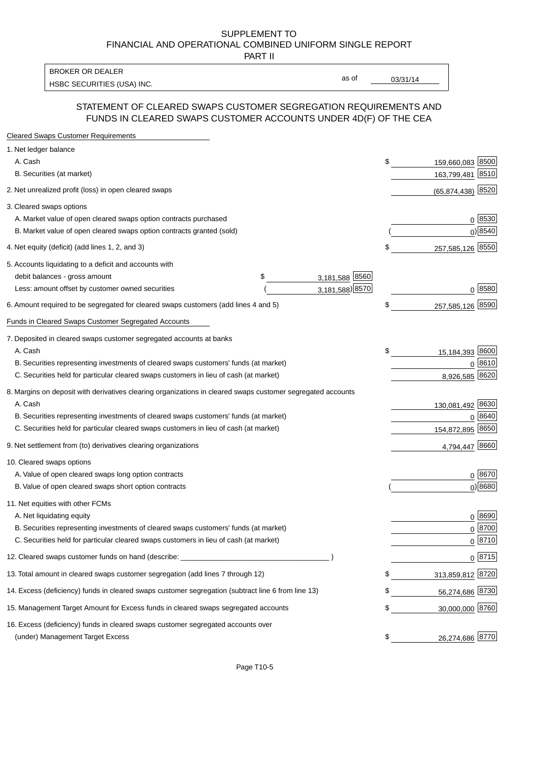#### SUPPLEMENT TO FINANCIAL AND OPERATIONAL COMBINED UNIFORM SINGLE REPORT PART II

HSBC SECURITIES (USA) INC. The contract of the contract of the contract of the contract of the contract of the contract of the contract of the contract of the contract of the contract of the contract of the contract of the BROKER OR DEALER

as of

#### STATEMENT OF CLEARED SWAPS CUSTOMER SEGREGATION REQUIREMENTS AND FUNDS IN CLEARED SWAPS CUSTOMER ACCOUNTS UNDER 4D(F) OF THE CEA

| <b>Cleared Swaps Customer Requirements</b>                                                                  |                      |    |                        |
|-------------------------------------------------------------------------------------------------------------|----------------------|----|------------------------|
| 1. Net ledger balance                                                                                       |                      |    |                        |
| A. Cash                                                                                                     |                      | \$ | 8500<br>159,660,083    |
| B. Securities (at market)                                                                                   |                      |    | 8510<br>163,799,481    |
| 2. Net unrealized profit (loss) in open cleared swaps                                                       |                      |    | 8520<br>(65, 874, 438) |
| 3. Cleared swaps options                                                                                    |                      |    |                        |
| A. Market value of open cleared swaps option contracts purchased                                            |                      |    | $0^{8530}$             |
| B. Market value of open cleared swaps option contracts granted (sold)                                       |                      |    | $0)$ 8540              |
| 4. Net equity (deficit) (add lines 1, 2, and 3)                                                             |                      | \$ | 257,585,126 8550       |
| 5. Accounts liquidating to a deficit and accounts with                                                      |                      |    |                        |
| debit balances - gross amount                                                                               | 3,181,588 8560<br>\$ |    |                        |
| Less: amount offset by customer owned securities                                                            | 3,181,588) 8570      |    | 0 8580                 |
| 6. Amount required to be segregated for cleared swaps customers (add lines 4 and 5)                         |                      | S  | 8590<br>257,585,126    |
| Funds in Cleared Swaps Customer Segregated Accounts                                                         |                      |    |                        |
| 7. Deposited in cleared swaps customer segregated accounts at banks                                         |                      |    |                        |
| A. Cash                                                                                                     |                      | \$ | 15,184,393 8600        |
| B. Securities representing investments of cleared swaps customers' funds (at market)                        |                      |    | 8610<br>0              |
| C. Securities held for particular cleared swaps customers in lieu of cash (at market)                       |                      |    | 8,926,585<br>8620      |
| 8. Margins on deposit with derivatives clearing organizations in cleared swaps customer segregated accounts |                      |    |                        |
| A. Cash                                                                                                     |                      |    | 130,081,492 8630       |
| B. Securities representing investments of cleared swaps customers' funds (at market)                        |                      |    | 8640                   |
| C. Securities held for particular cleared swaps customers in lieu of cash (at market)                       |                      |    | 8650<br>154,872,895    |
| 9. Net settlement from (to) derivatives clearing organizations                                              |                      |    | 8660<br>4,794,447      |
| 10. Cleared swaps options                                                                                   |                      |    |                        |
| A. Value of open cleared swaps long option contracts                                                        |                      |    | $0^{8670}$             |
| B. Value of open cleared swaps short option contracts                                                       |                      |    | $0$ ) 8680             |
| 11. Net equities with other FCMs                                                                            |                      |    |                        |
| A. Net liquidating equity                                                                                   |                      |    | $0^{8690}$             |
| B. Securities representing investments of cleared swaps customers' funds (at market)                        |                      |    | $0^{8700}$             |
| C. Securities held for particular cleared swaps customers in lieu of cash (at market)                       |                      |    | 0 8710                 |
| 12. Cleared swaps customer funds on hand (describe:                                                         |                      |    | $0 \;  8715 $          |
| 13. Total amount in cleared swaps customer segregation (add lines 7 through 12)                             |                      |    | 313,859,812 8720       |
| 14. Excess (deficiency) funds in cleared swaps customer segregation (subtract line 6 from line 13)          |                      |    | 56,274,686 8730        |
| 15. Management Target Amount for Excess funds in cleared swaps segregated accounts                          |                      | \$ | 30,000,000 8760        |
| 16. Excess (deficiency) funds in cleared swaps customer segregated accounts over                            |                      |    |                        |
| (under) Management Target Excess                                                                            |                      | \$ | 26,274,686 8770        |